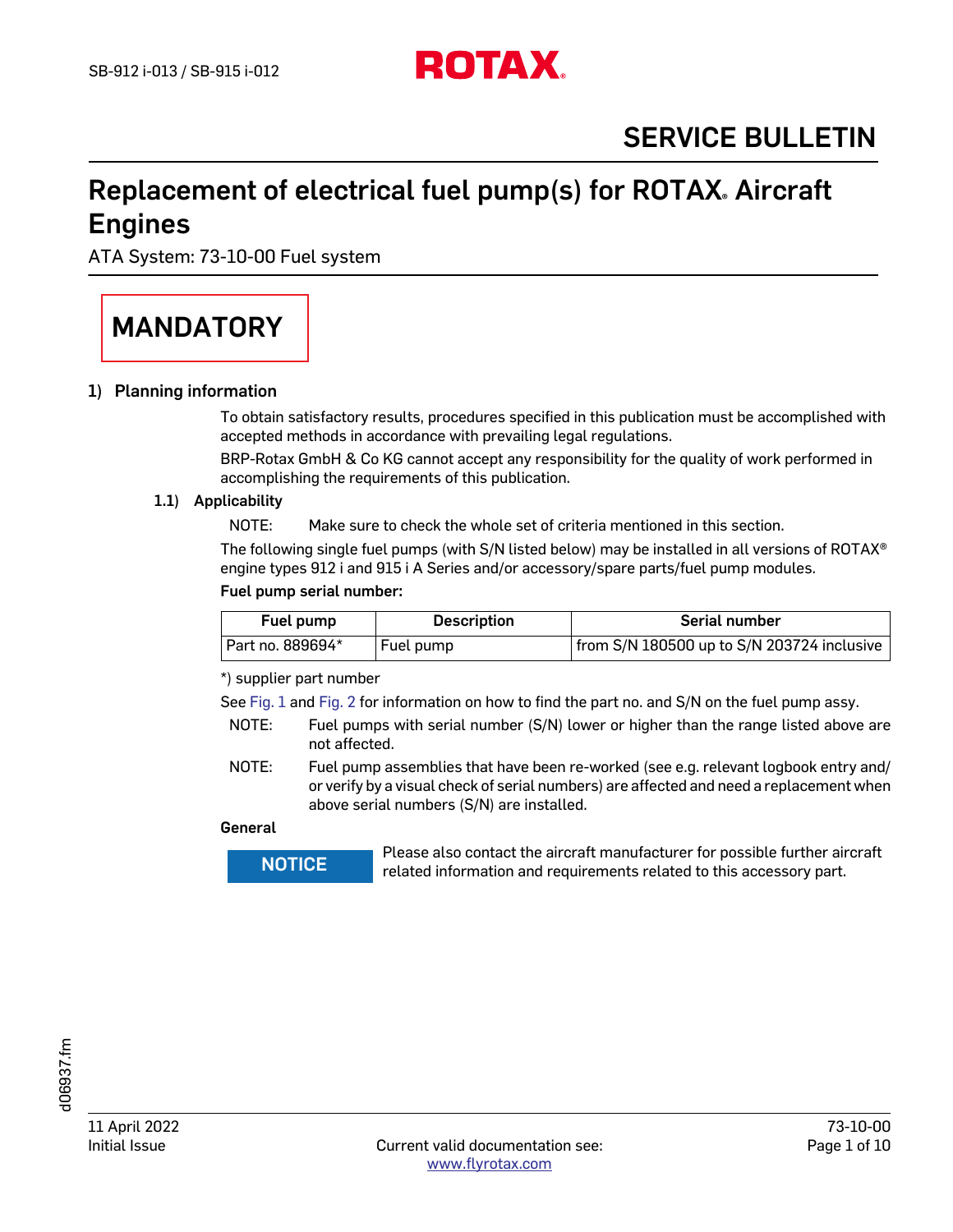

# Replacement of electrical fuel pump(s) for ROTAX. Aircraft Engines

ATA System: 73-10-00 Fuel system

# MANDATORY

# 1) Planning information

To obtain satisfactory results, procedures specified in this publication must be accomplished with accepted methods in accordance with prevailing legal regulations.

BRP-Rotax GmbH & Co KG cannot accept any responsibility for the quality of work performed in accomplishing the requirements of this publication.

### 1.1) Applicability

NOTE: Make sure to check the whole set of criteria mentioned in this section.

The following single fuel pumps (with S/N listed below) may be installed in all versions of ROTAX® engine types 912 i and 915 i A Series and/or accessory/spare parts/fuel pump modules.

### Fuel pump serial number:

| Fuel pump        | <b>Description</b> | <b>Serial number</b>                       |
|------------------|--------------------|--------------------------------------------|
| Part no. 889694* | Fuel pump          | from S/N 180500 up to S/N 203724 inclusive |

\*) supplier part number

See [Fig. 1](#page-8-0) and [Fig. 2](#page-8-1) for information on how to find the part no. and S/N on the fuel pump assy.

- NOTE: Fuel pumps with serial number (S/N) lower or higher than the range listed above are not affected.
- NOTE: Fuel pump assemblies that have been re-worked (see e.g. relevant logbook entry and/ or verify by a visual check of serial numbers) are affected and need a replacement when above serial numbers (S/N) are installed.

#### General

**WARNUNGE Please also contact the aircraft manufacturer for possible further aircraft related information and requirements related to this accessory part.**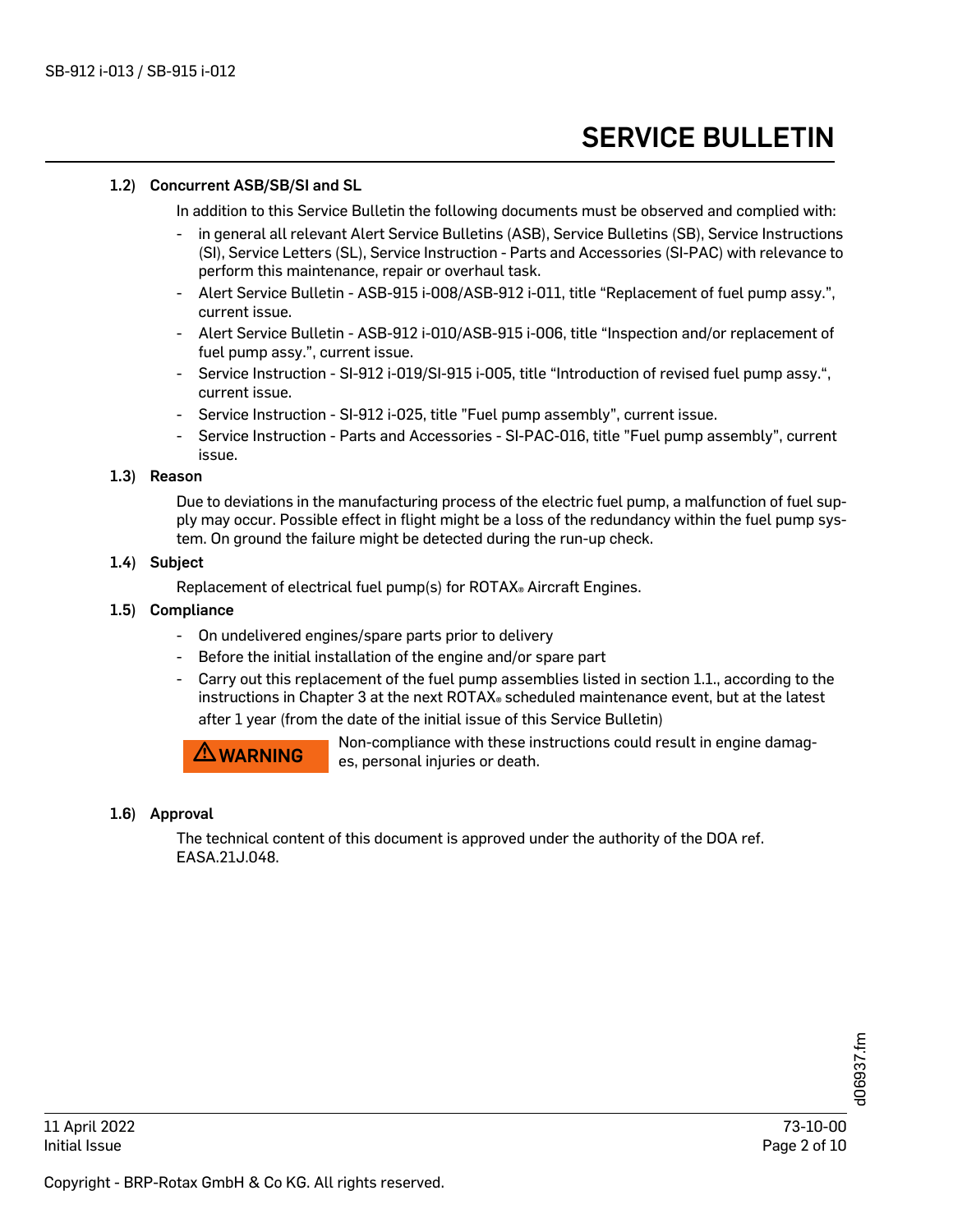#### 1.2) Concurrent ASB/SB/SI and SL

In addition to this Service Bulletin the following documents must be observed and complied with:

- in general all relevant Alert Service Bulletins (ASB), Service Bulletins (SB), Service Instructions (SI), Service Letters (SL), Service Instruction - Parts and Accessories (SI-PAC) with relevance to perform this maintenance, repair or overhaul task.
- Alert Service Bulletin ASB-915 i-008/ASB-912 i-011, title "Replacement of fuel pump assy.", current issue.
- Alert Service Bulletin ASB-912 i-010/ASB-915 i-006, title "Inspection and/or replacement of fuel pump assy.", current issue.
- Service Instruction SI-912 i-019/SI-915 i-005, title "Introduction of revised fuel pump assy.", current issue.
- Service Instruction SI-912 i-025, title "Fuel pump assembly", current issue.
- Service Instruction Parts and Accessories SI-PAC-016, title "Fuel pump assembly", current issue.

#### 1.3) Reason

Due to deviations in the manufacturing process of the electric fuel pump, a malfunction of fuel supply may occur. Possible effect in flight might be a loss of the redundancy within the fuel pump system. On ground the failure might be detected during the run-up check.

### 1.4) Subject

Replacement of electrical fuel pump(s) for ROTAX® Aircraft Engines.

#### 1.5) Compliance

- On undelivered engines/spare parts prior to delivery
- Before the initial installation of the engine and/or spare part
- Carry out this replacement of the fuel pump assemblies listed in section 1.1., according to the instructions in Chapter 3 at the next ROTAX® scheduled maintenance event, but at the latest after 1 year (from the date of the initial issue of this Service Bulletin)

**AWARNING** Non-compliance with these instructions could result in engine damages, personal injuries or death.

#### 1.6) Approval

The technical content of this document is approved under the authority of the DOA ref. EASA.21J.048.

Copyright - BRP-Rotax GmbH & Co KG. All rights reserved.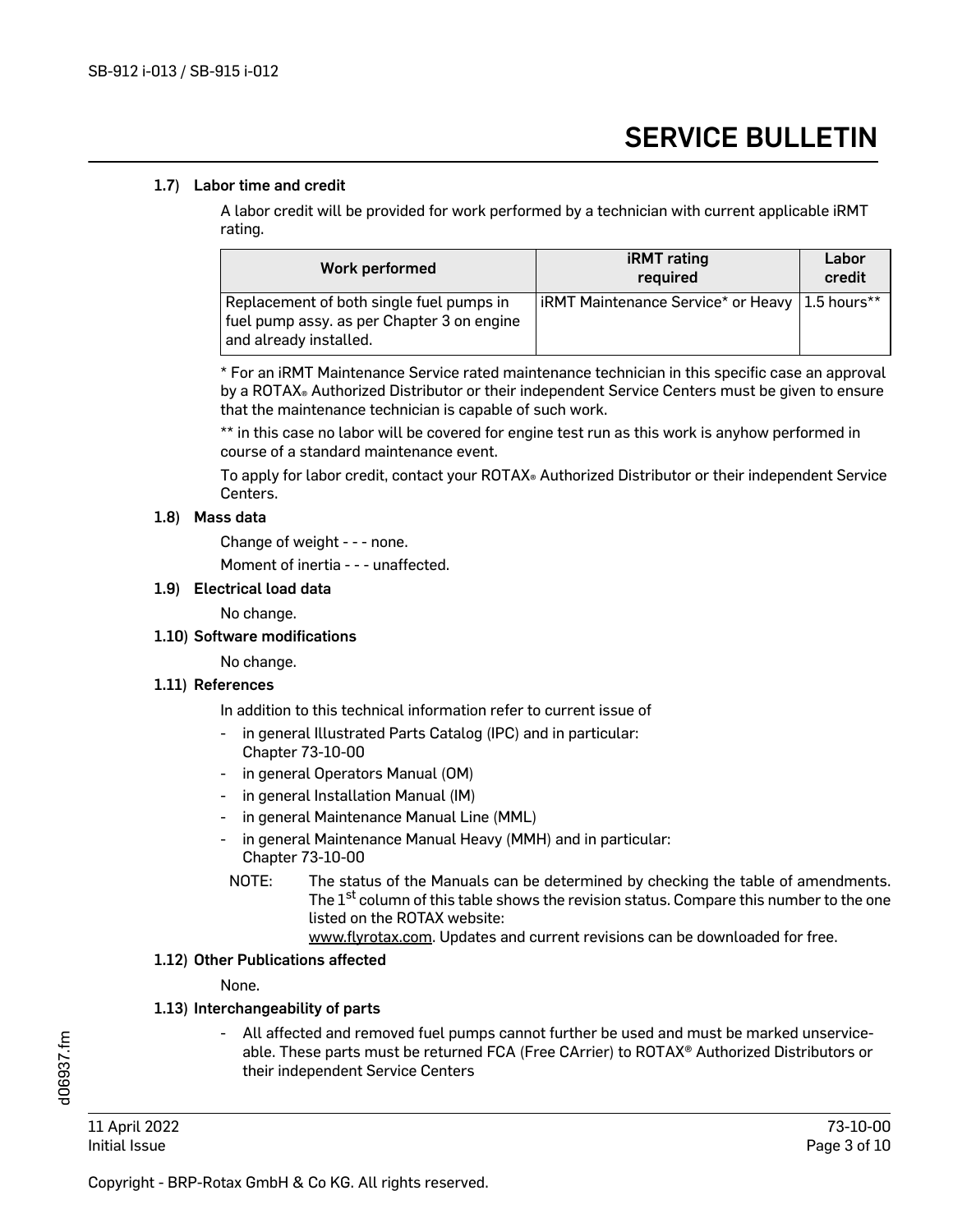### 1.7) Labor time and credit

A labor credit will be provided for work performed by a technician with current applicable iRMT rating.

| Work performed                                                                                                   | <b>iRMT</b> rating<br>required                        | Labor<br>credit |
|------------------------------------------------------------------------------------------------------------------|-------------------------------------------------------|-----------------|
| Replacement of both single fuel pumps in<br>fuel pump assy. as per Chapter 3 on engine<br>and already installed. | <b>iRMT Maintenance Service* or Heavy 1.5 hours**</b> |                 |

\* For an iRMT Maintenance Service rated maintenance technician in this specific case an approval by a ROTAX® Authorized Distributor or their independent Service Centers must be given to ensure that the maintenance technician is capable of such work.

\*\* in this case no labor will be covered for engine test run as this work is anyhow performed in course of a standard maintenance event.

To apply for labor credit, contact your ROTAX® Authorized Distributor or their independent Service Centers.

### 1.8) Mass data

Change of weight - - - none.

Moment of inertia - - - unaffected.

### 1.9) Electrical load data

No change.

# 1.10) Software modifications

No change.

# 1.11) References

In addition to this technical information refer to current issue of

- in general Illustrated Parts Catalog (IPC) and in particular: Chapter 73-10-00
- in general Operators Manual (OM)
- in general Installation Manual (IM)
- in general Maintenance Manual Line (MML)
- in general Maintenance Manual Heavy (MMH) and in particular: Chapter 73-10-00
	- NOTE: The status of the Manuals can be determined by checking the table of amendments. The  $1<sup>st</sup>$  column of this table shows the revision status. Compare this number to the one listed on the ROTAX website:

www.flyrotax.com. Updates and current revisions can be downloaded for free.

#### 1.12) Other Publications affected

None.

# 1.13) Interchangeability of parts

- All affected and removed fuel pumps cannot further be used and must be marked unserviceable. These parts must be returned FCA (Free CArrier) to ROTAX® Authorized Distributors or their independent Service Centers

11 April 2022 73-10-00 Initial Issue Page 3 of 10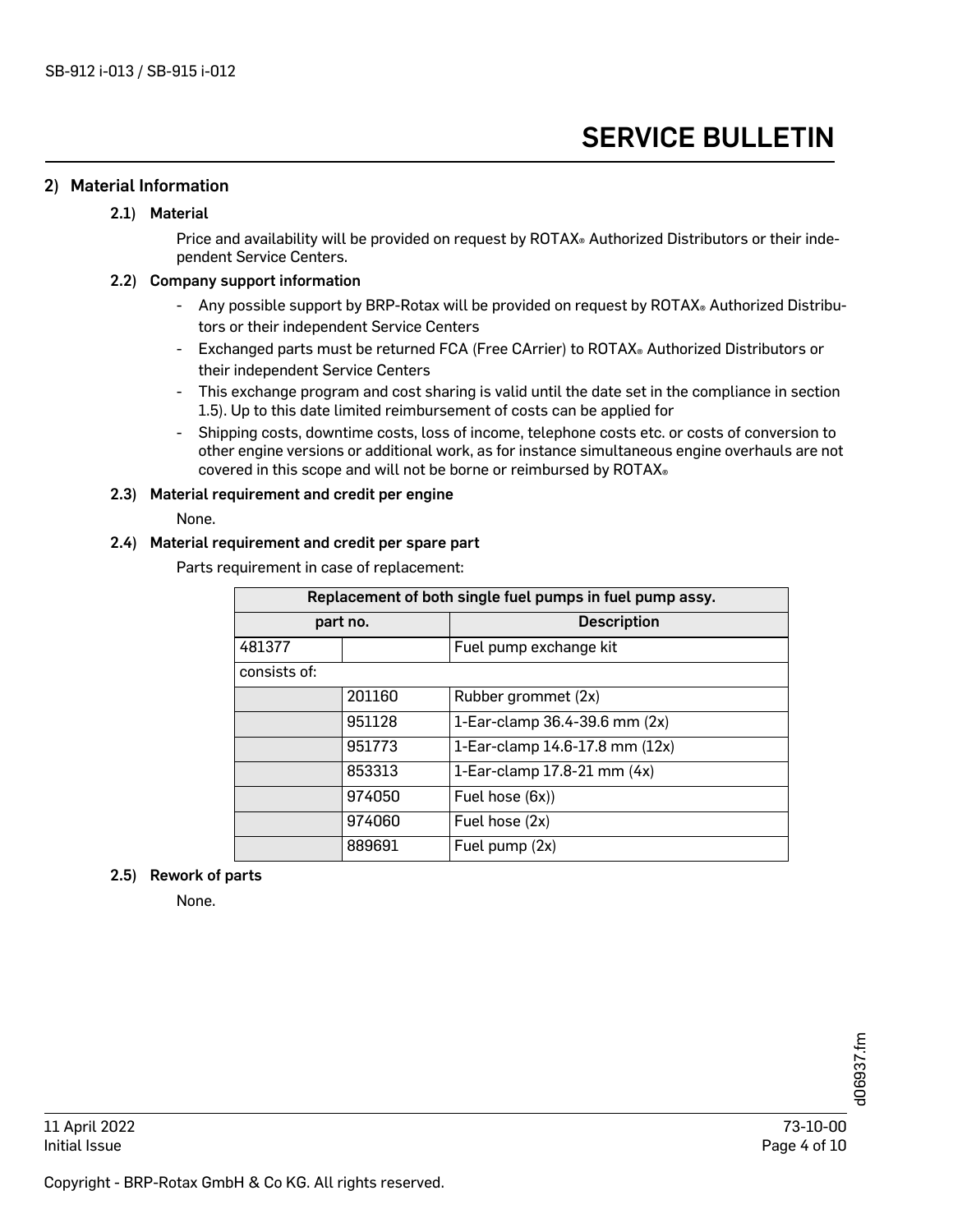# 2) Material Information

# 2.1) Material

Price and availability will be provided on request by ROTAX® Authorized Distributors or their independent Service Centers.

#### 2.2) Company support information

- Any possible support by BRP-Rotax will be provided on request by ROTAX® Authorized Distributors or their independent Service Centers
- Exchanged parts must be returned FCA (Free CArrier) to ROTAX® Authorized Distributors or their independent Service Centers
- This exchange program and cost sharing is valid until the date set in the compliance in section 1.5). Up to this date limited reimbursement of costs can be applied for
- Shipping costs, downtime costs, loss of income, telephone costs etc. or costs of conversion to other engine versions or additional work, as for instance simultaneous engine overhauls are not covered in this scope and will not be borne or reimbursed by ROTAX®

### 2.3) Material requirement and credit per engine

#### None.

### 2.4) Material requirement and credit per spare part

Parts requirement in case of replacement:

| Replacement of both single fuel pumps in fuel pump assy. |        |                                |  |  |
|----------------------------------------------------------|--------|--------------------------------|--|--|
| part no.                                                 |        | <b>Description</b>             |  |  |
| 481377                                                   |        | Fuel pump exchange kit         |  |  |
| consists of:                                             |        |                                |  |  |
|                                                          | 201160 | Rubber grommet (2x)            |  |  |
|                                                          | 951128 | 1-Ear-clamp 36.4-39.6 mm (2x)  |  |  |
|                                                          | 951773 | 1-Ear-clamp 14.6-17.8 mm (12x) |  |  |
|                                                          | 853313 | 1-Ear-clamp 17.8-21 mm (4x)    |  |  |
|                                                          | 974050 | Fuel hose (6x))                |  |  |
|                                                          | 974060 | Fuel hose (2x)                 |  |  |
|                                                          | 889691 | Fuel pump (2x)                 |  |  |

# 2.5) Rework of parts

None.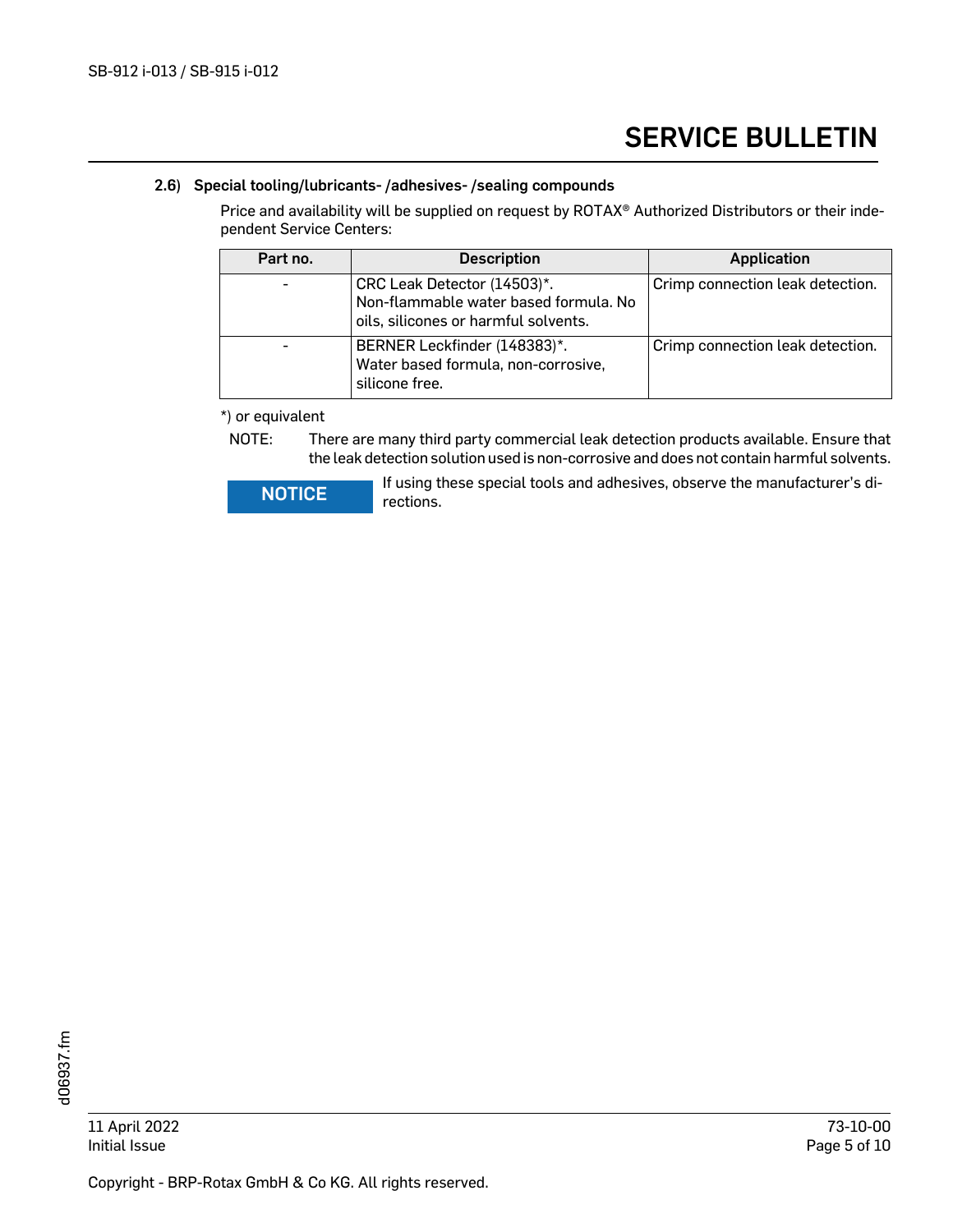### 2.6) Special tooling/lubricants- /adhesives- /sealing compounds

Price and availability will be supplied on request by ROTAX® Authorized Distributors or their independent Service Centers:

| Part no. | <b>Description</b>                                                                                           | <b>Application</b>               |
|----------|--------------------------------------------------------------------------------------------------------------|----------------------------------|
|          | CRC Leak Detector (14503)*.<br>Non-flammable water based formula. No<br>oils, silicones or harmful solvents. | Crimp connection leak detection. |
|          | BERNER Leckfinder (148383)*.<br>Water based formula, non-corrosive,<br>silicone free.                        | Crimp connection leak detection. |

\*) or equivalent

NOTE: There are many third party commercial leak detection products available. Ensure that the leak detection solution used is non-corrosive and does not contain harmful solvents.

**NOTICE** If using these special tools and adhesives, observe the manufacturer's directions.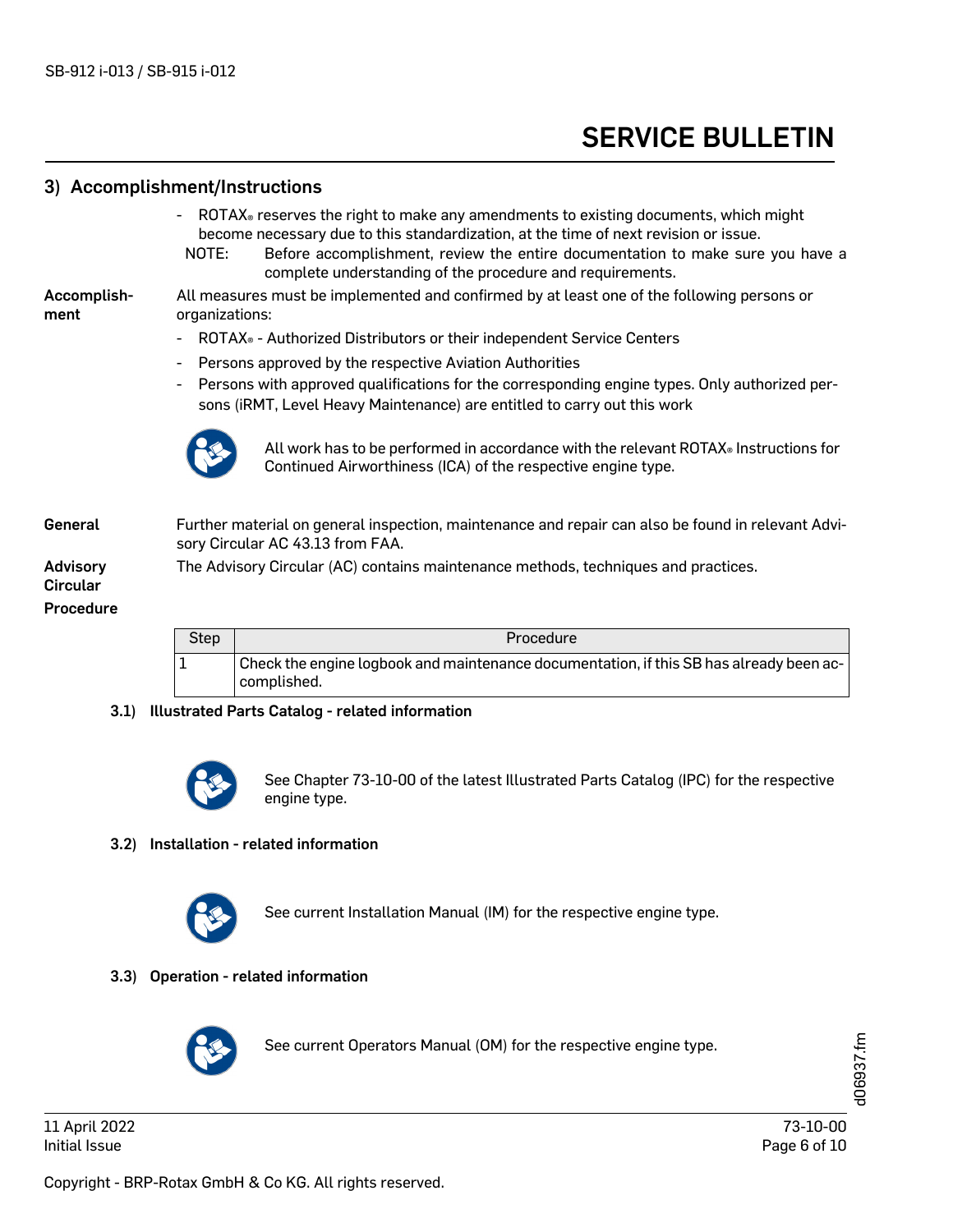# 3) Accomplishment/Instructions - ROTAX® reserves the right to make any amendments to existing documents, which might become necessary due to this standardization, at the time of next revision or issue. NOTE: Before accomplishment, review the entire documentation to make sure you have a complete understanding of the procedure and requirements. Accomplishment All measures must be implemented and confirmed by at least one of the following persons or organizations: - ROTAX® - Authorized Distributors or their independent Service Centers Persons approved by the respective Aviation Authorities Persons with approved qualifications for the corresponding engine types. Only authorized persons (iRMT, Level Heavy Maintenance) are entitled to carry out this work General Further material on general inspection, maintenance and repair can also be found in relevant Advisory Circular AC 43.13 from FAA. Advisory Circular The Advisory Circular (AC) contains maintenance methods, techniques and practices. Procedure All work has to be performed in accordance with the relevant ROTAX® Instructions for Continued Airworthiness (ICA) of the respective engine type. Step Procedure 1 Check the engine logbook and maintenance documentation, if this SB has already been accomplished.

#### 3.1) Illustrated Parts Catalog - related information



See Chapter 73-10-00 of the latest Illustrated Parts Catalog (IPC) for the respective engine type.

#### 3.2) Installation - related information



See current Installation Manual (IM) for the respective engine type.

#### 3.3) Operation - related information



See current Operators Manual (OM) for the respective engine type.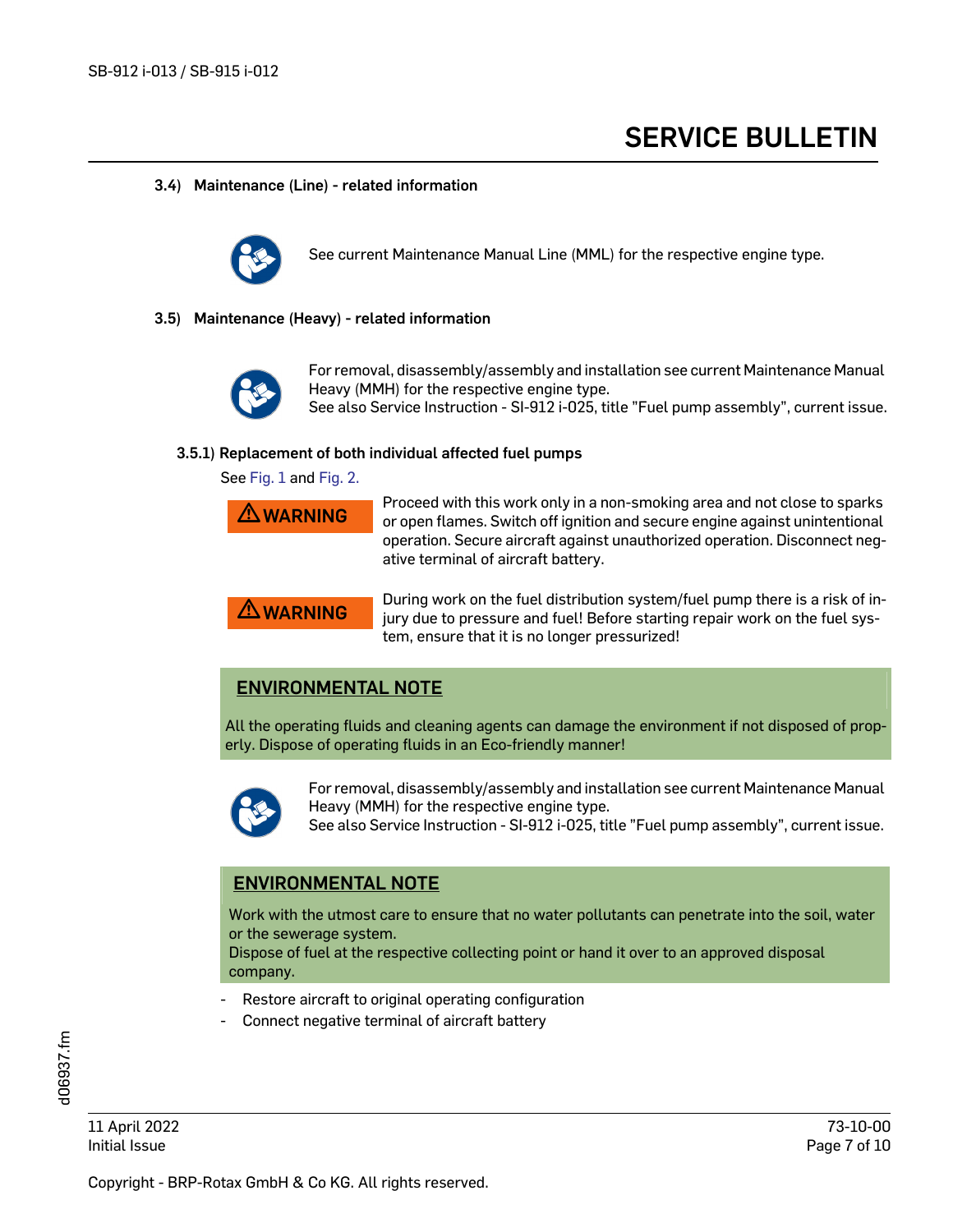#### 3.4) Maintenance (Line) - related information



See current Maintenance Manual Line (MML) for the respective engine type.

#### 3.5) Maintenance (Heavy) - related information



For removal, disassembly/assembly and installation see current Maintenance Manual Heavy (MMH) for the respective engine type.

See also Service Instruction - SI-912 i-025, title "Fuel pump assembly", current issue.

#### 3.5.1) Replacement of both individual affected fuel pumps

See [Fig. 1](#page-8-0) and Fig. 2.

| AWARNING |  |
|----------|--|
|          |  |
|          |  |
|          |  |

**A WARNING** Proceed with this work only in a non-smoking area and not close to sparks<br>or open flames. Switch off ignition and secure engine against unintentional operation. Secure aircraft against unauthorized operation. Disconnect negative terminal of aircraft battery.



**A WARNING** During work on the fuel distribution system/fuel pump there is a risk of in-<br>jury due to pressure and fuel! Before starting repair work on the fuel system, ensure that it is no longer pressurized!

# ENVIRONMENTAL NOTE

All the operating fluids and cleaning agents can damage the environment if not disposed of properly. Dispose of operating fluids in an Eco-friendly manner!



For removal, disassembly/assembly and installation see current Maintenance Manual Heavy (MMH) for the respective engine type.

See also Service Instruction - SI-912 i-025, title "Fuel pump assembly", current issue.

# ENVIRONMENTAL NOTE

Work with the utmost care to ensure that no water pollutants can penetrate into the soil, water or the sewerage system.

Dispose of fuel at the respective collecting point or hand it over to an approved disposal company.

- Restore aircraft to original operating configuration
- Connect negative terminal of aircraft battery

11 April 2022 73-10-00 Initial Issue Page 7 of 10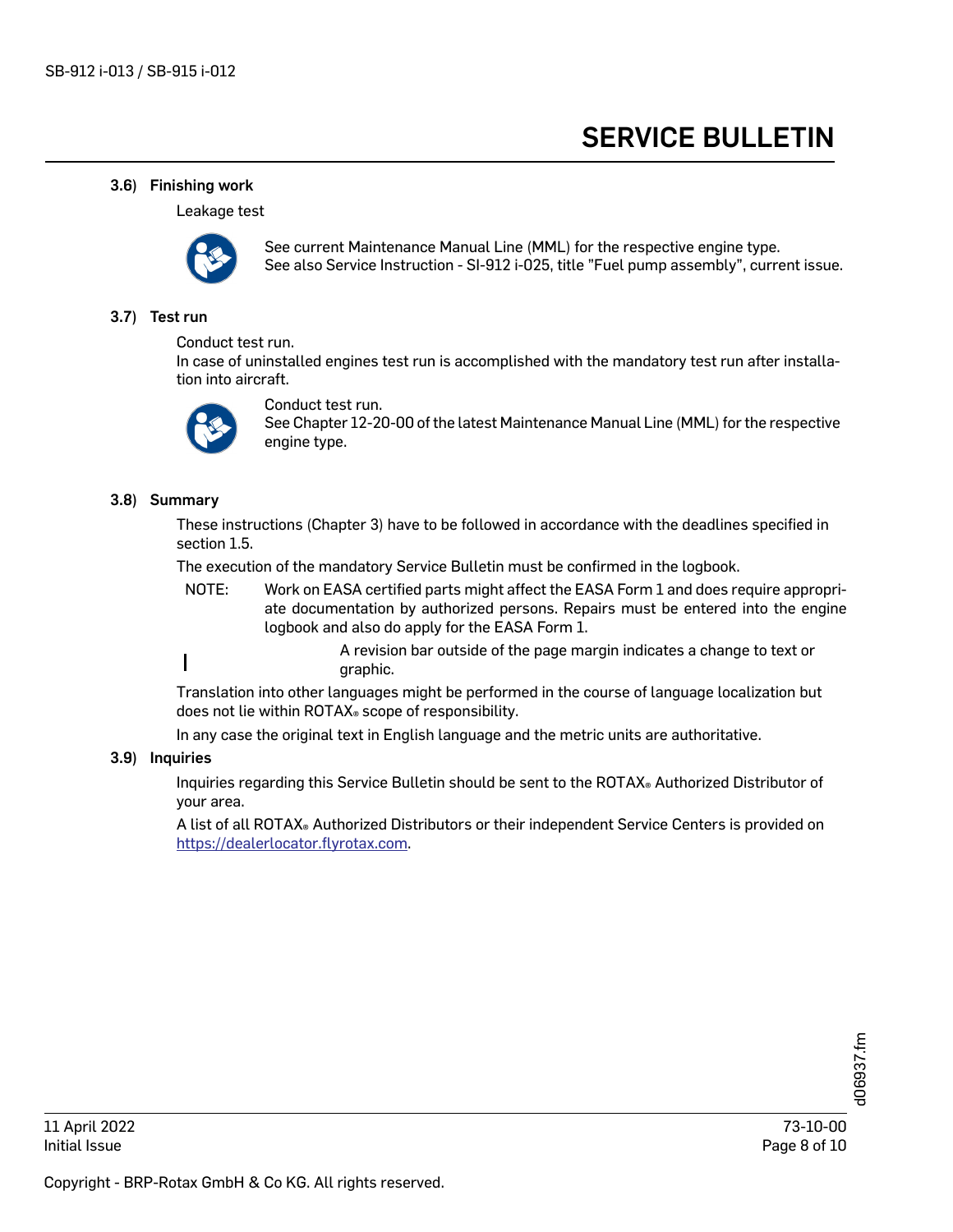#### 3.6) Finishing work

Leakage test



See current Maintenance Manual Line (MML) for the respective engine type. See also Service Instruction - SI-912 i-025, title "Fuel pump assembly", current issue.

#### 3.7) Test run

Conduct test run.

In case of uninstalled engines test run is accomplished with the mandatory test run after installation into aircraft.



Conduct test run. See Chapter 12-20-00 of the latest Maintenance Manual Line (MML) for the respective engine type.

#### 3.8) Summary

These instructions (Chapter 3) have to be followed in accordance with the deadlines specified in section 1.5.

The execution of the mandatory Service Bulletin must be confirmed in the logbook.

- NOTE: Work on EASA certified parts might affect the EASA Form 1 and does require appropriate documentation by authorized persons. Repairs must be entered into the engine logbook and also do apply for the EASA Form 1.
- A revision bar outside of the page margin indicates a change to text or I graphic.

Translation into other languages might be performed in the course of language localization but does not lie within ROTAX® scope of responsibility.

In any case the original text in English language and the metric units are authoritative.

#### 3.9) Inquiries

Inquiries regarding this Service Bulletin should be sent to the ROTAX® Authorized Distributor of your area.

A list of all ROTAX® Authorized Distributors or their independent Service Centers is provided on [https://dealerlocator.flyrotax.com.](https://dealerlocator.flyrotax.com/)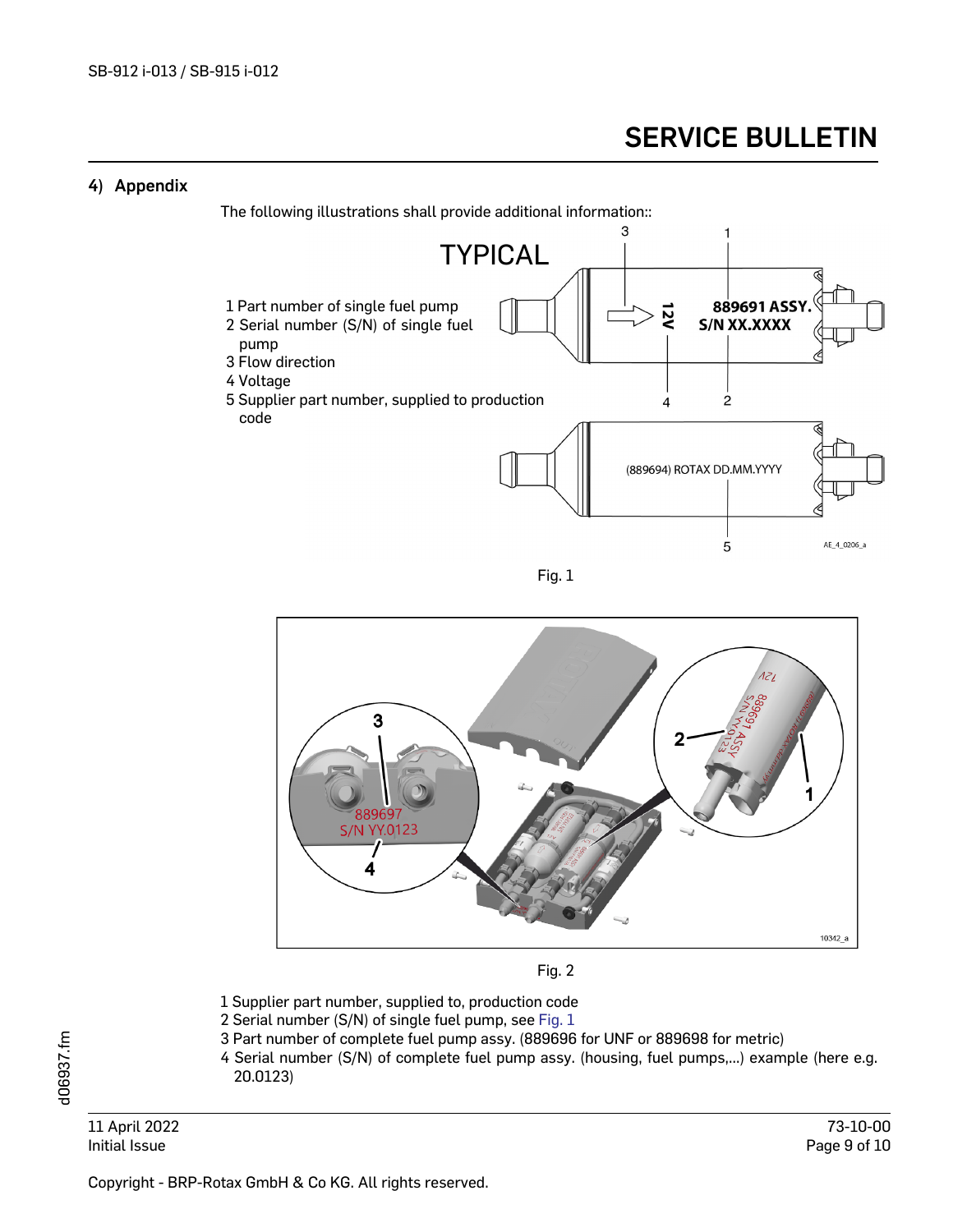# 4) Appendix

The following illustrations shall provide additional information::



Fig. 1

<span id="page-8-0"></span>

Fig. 2

- <span id="page-8-1"></span>1 Supplier part number, supplied to, production code
- 2 Serial number (S/N) of single fuel pump, see [Fig. 1](#page-8-0)
- 3 Part number of complete fuel pump assy. (889696 for UNF or 889698 for metric)
- 4 Serial number (S/N) of complete fuel pump assy. (housing, fuel pumps,...) example (here e.g. 20.0123)

11 April 2022 73-10-00 Initial Issue Page 9 of 10

Copyright - BRP-Rotax GmbH & Co KG. All rights reserved.